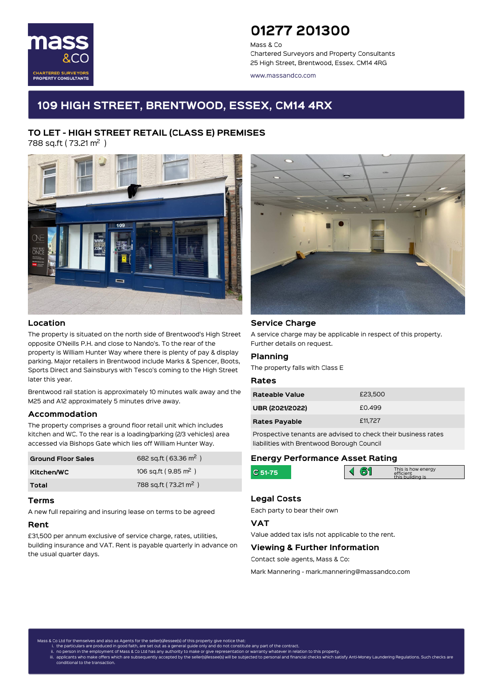

# 01277 201300

Mass & Co Chartered Surveyors and Property Consultants 25 High Street, Brentwood, Essex. CM14 4RG

www.massandco.com

## 109 HIGH STREET, BRENTWOOD, ESSEX, CM14 4RX

# TO LET - HIGH STREET RETAIL (CLASS E) PREMISES

788 sq.ft ( 73.21 m<sup>2</sup> )



#### Location

The property is situated on the north side of Brentwood's High Street opposite O'Neills P.H. and close to Nando's. To the rear of the property is William Hunter Way where there is plenty of pay & display parking. Major retailers in Brentwood include Marks & Spencer, Boots, Sports Direct and Sainsburys with Tesco's coming to the High Street later this year.

Brentwood rail station is approximately 10 minutes walk away and the M25 and A12 approximately 5 minutes drive away.

#### Accommodation

The property comprises a ground floor retail unit which includes kitchen and WC. To the rear is a loading/parking (2/3 vehicles) area accessed via Bishops Gate which lies off William Hunter Way.

| <b>Ground Floor Sales</b> | 682 sq.ft (63.36 m <sup>2</sup> ) |
|---------------------------|-----------------------------------|
| Kitchen/WC                | 106 sq.ft (9.85 m <sup>2</sup> )  |
| Total                     | 788 sq.ft (73.21 m <sup>2</sup> ) |

#### Terms

A new full repairing and insuring lease on terms to be agreed

#### Rent

£31,500 per annum exclusive of service charge, rates, utilities, building insurance and VAT. Rent is payable quarterly in advance on the usual quarter days.



#### Service Charge

A service charge may be applicable in respect of this property. Further details on request.

#### Planning

The property falls with Class E

#### Rates

| Rateable Value       | £23,500 |
|----------------------|---------|
| UBR (2021/2022)      | £0.499  |
| <b>Rates Payable</b> | £11,727 |

Prospective tenants are advised to check their business rates liabilities with Brentwood Borough Council

#### Energy Performance Asset Rating

|  |  | This is how energy<br>efficient<br>this huilding is |
|--|--|-----------------------------------------------------|
|  |  |                                                     |

## Legal Costs C

Each party to bear their own

### VAT

Value added tax is/is not applicable to the rent.

#### Viewing & Further Information

Contact sole agents, Mass & Co:

Mark Mannering - mark.mannering@massandco.com

is & Co Ltd for themselves and also as Agents for the seller(s)/lessee(s) of this property gi<mark>v</mark>

- 
- i. the particulars are produced in good faith, are set out as a general guide only and do not constitute any part of the contract.<br>ii. no person in the employment of Mass & Co Ltd has any authority to make or give represen